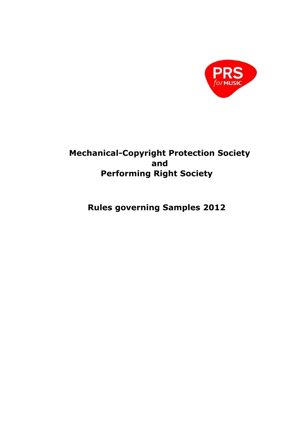

# **Mechanical-Copyright Protection Society and Performing Right Society**

**Rules governing Samples 2012**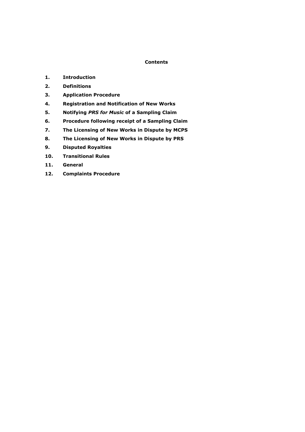## **Contents**

- **1. Introduction**
- **2. Definitions**
- **3. Application Procedure**
- **4. Registration and Notification of New Works**
- **5. Notifying** *PRS for Music* **of a Sampling Claim**
- **6. Procedure following receipt of a Sampling Claim**
- **7. The Licensing of New Works in Dispute by MCPS**
- **8. The Licensing of New Works in Dispute by PRS**
- **9. Disputed Royalties**
- **10. Transitional Rules**
- **11. General**
- **12. Complaints Procedure**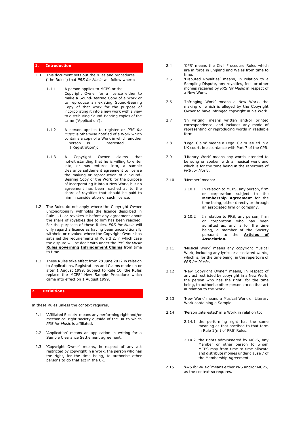#### **1. Introduction**

- 1.1 This document sets out the rules and procedures ('the Rules') that *PRS for Music* will follow where:
	- 1.1.1 A person applies to MCPS or the Copyright Owner for a licence either to make a Sound-Bearing Copy of a Work or to reproduce an existing Sound-Bearing Copy of that work for the purpose of incorporating it into a new work with a view to distributing Sound-Bearing copies of the same ('Application');
	- 1.1.2 A person applies to register or *PRS for Music* is otherwise notified of a Work which contains a copy of a Work in which another<br>person is interested  $p$ erson is ('Registration');
	- 1.1.3 A Copyright Owner claims that notwithstanding that he is willing to enter into, or has entered into, a sample clearance settlement agreement to license the making or reproduction of a Sound-Bearing Copy of the Work for the purpose of incorporating it into a New Work, but no agreement has been reached as to the share of royalties that should be paid to him in consideration of such licence.
- 1.2 The Rules do not apply where the Copyright Owner unconditionally withholds the licence described in Rule 1.1, or revokes it before any agreement about the share of royalties due to him has been reached. For the purposes of these Rules, *PRS for Music* will only regard a licence as having been unconditionally withheld or revoked where the Copyright Owner has satisfied the requirements of Rule 3.2, in which case the dispute will be dealt [with under the](http://www.prsformusic.com/creators/joiningus/how_it_works/infringementsanddisputes/Pages/infringements.aspx) *[PRS for Music](http://www.prsformusic.com/creators/joiningus/how_it_works/infringementsanddisputes/Pages/infringements.aspx)* **[Rules governing](http://www.prsformusic.com/creators/joiningus/how_it_works/infringementsanddisputes/Pages/infringements.aspx) [Infringement Claims](http://www.prsformusic.com/creators/joiningus/how_it_works/infringementsanddisputes/Pages/infringements.aspx)** [from time](http://www.prsformusic.com/creators/joiningus/how_it_works/infringementsanddisputes/Pages/infringements.aspx)  [to time.](http://www.prsformusic.com/creators/joiningus/how_it_works/infringementsanddisputes/Pages/infringements.aspx)
- 1.3 These Rules take effect from 28 June 2012 in relation to Applications, Registrations and Claims made on or after 1 August 1999. Subject to Rule 10, the Rules replace the MCPS' New Sample Procedure which came into effect on 1 August 1999.

## **2. Definitions**

In these Rules unless the context requires,

- 2.1 'Affiliated Society' means any performing right and/or mechanical right society outside of the UK to which *PRS for Music* is affiliated.
- 2.2 'Application' means an application in writing for a Sample Clearance Settlement agreement.
- 2.3 'Copyright Owner' means, in respect of any act restricted by copyright in a Work, the person who has the right, for the time being, to authorise other persons to do that act in the UK.
- 2.4 'CPR' means the Civil Procedure Rules which are in force in England and Wales from time to time.
- 2.5 'Disputed Royalties' means, in relation to a Sampling Dispute, any royalties, fees or other monies received by *PRS for Music* in respect of a New Work.
- 2.6 'Infringing Work' means a New Work, the making of which is alleged by the Copyright Owner to have infringed copyright in his Work.
- 2.7 'In writing' means written and/or printed correspondence, and includes any mode of representing or reproducing words in readable form.
- 2.8 'Legal Claim' means a Legal Claim issued in a UK court, in accordance with Part 7 of the CPR.
- 2.9 'Literary Work' means any words intended to be sung or spoken with a musical work and which is for the time being in the repertoire of *PRS for Music*.
- 2.10 'Member' means:
	- 2.10.1 In relation to MCPS, any person, firm or [corporation subject to the](http://www.prsformusic.com/creators/joiningus/membershipagreements/mcpsmembershipagreement/Pages/MA2.aspx)  **[Membership](http://www.prsformusic.com/creators/joiningus/membershipagreements/mcpsmembershipagreement/Pages/MA2.aspx) [Agreement](http://www.prsformusic.com/creators/joiningus/membershipagreements/mcpsmembershipagreement/Pages/MA2.aspx)** [for the](http://www.prsformusic.com/creators/joiningus/membershipagreements/mcpsmembershipagreement/Pages/MA2.aspx)  [time being, either d](http://www.prsformusic.com/creators/joiningus/membershipagreements/mcpsmembershipagreement/Pages/MA2.aspx)irectly or through an associated firm or company.
	- 2.10.2 In relation to PRS, any person, firm or corporation who has been admitted as, and is for the time being, a member of [the Society](http://www.prsformusic.com/SiteCollectionDocuments/About%20MCPS-PRS/PRSMEMART.pdf)  [pursuant to the](http://www.prsformusic.com/SiteCollectionDocuments/About%20MCPS-PRS/PRSMEMART.pdf) **[Articles of](http://www.prsformusic.com/SiteCollectionDocuments/About%20MCPS-PRS/PRSMEMART.pdf) [Association.](http://www.prsformusic.com/SiteCollectionDocuments/About%20MCPS-PRS/PRSMEMART.pdf)**
- 2.11 'Musical Work' means any copyright Musical Work, including any lyrics or associated words, which is, for the time being, in the repertoire of *PRS for Music*.
- 2.12 'New Copyright Owner' means, in respect of any act restricted by copyright in a New Work, the person who has the right, for the time being, to authorise other persons to do that act in relation to the Work.
- 2.13 'New Work' means a Musical Work or Literary Work containing a Sample.
- 2.14 'Person Interested' in a Work in relation to:
	- 2.14.1 the performing right has the same meaning as that ascribed to that term in Rule 1(m) of PRS' Rules.
	- 2.14.2 the rights administered by MCPS, any Member or other person to whom MCPS may from time to time allocate and distribute monies under clause 7 of the Membership Agreement.
- 2.15 '*PRS for Music'* means either PRS and/or MCPS, as the context so requires.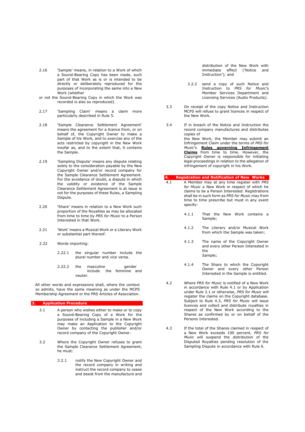- 2.16 'Sample' means, in relation to a Work of which a Sound-Bearing Copy has been made, such part of that Work as is or is intended to be directly or deliberately reproduced for the purposes of incorporating the same into a New Work (whether
- or not the Sound-Bearing Copy in which the Work was recorded is also so reproduced).
- 2.17 'Sampling Claim' means a claim more particularly described in Rule 5.
- 2.18 'Sample Clearance Settlement Agreement' means the agreement for a licence from, or on behalf of, the Copyright Owner to make a Sample of his Work, and to exercise any of the acts restricted by copyright in the New Work insofar as, and to the extent that, it contains the Sample.
- 2.19 'Sampling Dispute' means any dispute relating solely to the consideration payable by the New Copyright Owner and/or record company for the Sample Clearance Settlement Agreement. For the avoidance of doubt, a dispute in which the validity or existence of the Sample Clearance Settlement Agreement is at issue is not for the purposes of these Rules, a Sampling Dispute.
- 2.20 'Share' means in relation to a New Work such proportion of the Royalties as may be allocated from time to time by *PRS for Music* to a Person Interested in that Work.
- 2.21 'Work' means a Musical Work or a Literary Work or substantial part thereof.
- 2.22 Words importing:
	- 2.22.1 the singular number include the plural number and vice versa.
	- 2.22.2 the masculine aender include the feminine and neuter.

All other words and expressions shall, where the context so admits, have the same meaning as under the MCPS Membership Agreement or the PRS Articles of Association.

#### **3. Application Procedure**

- 3.1 A person who wishes either to make or to copy a Sound-Bearing Copy of a Work for the purposes of including a Sample in a New Work may make an Application to the Copyright Owner by contacting the publisher and/or record company of the Copyright Owner.
- 3.2 Where the Copyright Owner refuses to grant the Sample Clearance Settlement Agreement, he must:
	- 3.2.1 notify the New Copyright Owner and the record company in writing and instruct the record company to cease and desist from the manufacture and

distribution of the New Work with immediate effect ('Notice and Instruction'); and

- 3.2.2 send a copy of such Notice and Instruction to *PRS for Music*'s Member Services Department and Licensing Services (Audio Products).
- 3.3 On receipt of the copy Notice and Instruction MCPS will refuse to grant licences in respect of the New Work.
- 3.4 If in breach of the Notice and Instruction the record company manufactures and distributes copies of the New Work, the Member may submit an Infringement Claim under the terms of *PRS for Music*'s **[Rules governing Infringement](http://www.prsformusic.com/creators/joiningus/how_it_works/infringementsanddisputes/Pages/infringements.aspx)  [Claims](http://www.prsformusic.com/creators/joiningus/how_it_works/infringementsanddisputes/Pages/infringements.aspx)** from time to time. However, the Copyright Owner is responsible for initiating legal proceedings in relation to the allegation of infringement of copyright in his Work.

## **4. Registration and Notification of New Works**

- 4.1 A Member may at any time register with *PRS for Music* a New Work in respect of which he claims to be a Person Interested. Registrations shall be in such form as *PRS for Music* may from time to time prescribe but must in any event specify:
	- 4.1.1 That the New Work contains a Sample;
	- 4.1.2 The Literary and/or Musical Work from which the Sample was taken;
	- 4.1.3 The name of the Copyright Owner and every other Person Interested in the Sample;
	- 4.1.4 The Share to which the Copyright Owner and every other Person Interested in the Sample is entitled.
- 4.2 Where *PRS for Music* is notified of a New Work in accordance with Rule 4.1 or by Application under Rule 3.1 or otherwise, *PRS for Music* will register the claims on the Copyright database. Subject to Rule 4.3, *PRS for Music* will issue licences and collect and distribute royalties in respect of the New Work according to the Shares as confirmed by or on behalf of the Persons Interested.
- 4.3 If the total of the Shares claimed in respect of a New Work exceeds 100 percent, *PRS for Music* will suspend the distribution of the Disputed Royalties pending resolution of the Sampling Dispute in accordance with Rule 6.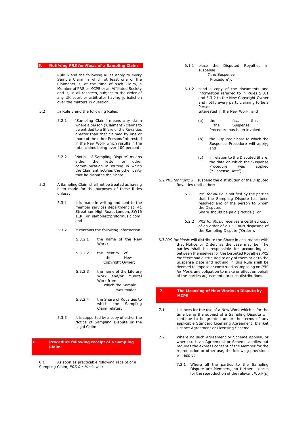#### **5. Notifying** *PRS for Music* **of a Sampling Claim**

- 5.1 Rule 5 and the following Rules apply to every Sample Claim in which at least one of the Claimants is, at the time of such Claim, a Member of PRS or MCPS or an Affiliated Society and is, in all respects, subject to the order of any UK court or arbitrator having jurisdiction over the matters in question.
- 5.2 In Rule 5 and the following Rules:
	- 5.2.1 'Sampling Claim' means any claim where a person ('Claimant') claims to be entitled to a Share of the Royalties greater than that claimed by one or more of the other Persons Interested in the New Work which results in the total claims being over 100 percent.
	- 5.2.2 'Notice of Sampling Dispute' means either the letter or other communication in writing in which the Claimant notifies the other party that he disputes the Share.
- 5.3 A Sampling Claim shall not be treated as having been made for the purposes of these Rules unless:
	- 5.3.1 it is made in writing and sent to the member services department at: 41 Streatham High Road, London, SW16 1ER, or samples@prsformusic.com; and
	- 5.3.2 it contains the following information:
		- 5.3.2.1 the name of the New Work;
		- 5.3.2.2 the identity of the New Copyright Owner;
		- 5.3.2.3 the name of the Literary Work and/or Musical Work from which the Sample was made;
		- 5.3.2.4 the Share of Royalties to which the Sampling Claim relates;
	- 5.3.3 it is supported by a copy of either the Notice of Sampling Dispute or the Legal Claim.

## **6. Procedure following receipt of a Sampling Claim**

6.1 As soon as practicable following receipt of a Sampling Claim, *PRS for Music* will:

6.1.1 place the Disputed Royalties in suspense ('the Suspense

Procedure');

- 6.1.2 send a copy of the documents and information referred to in Rules 5.3.1 and 5.3.2 to the New Copyright Owner and notify every party claiming to be a Person Interested in the New Work; and
	- (a) the fact that<br>the Suspense Suspense Procedure has been invoked;
	- (b) the Disputed Share to which the Suspense Procedure will apply; and
	- (c) in relation to the Disputed Share, the date on which the Suspense<br>Procedure vas applied Procedure ('Suspense Date').
- 6.2 *PRS for Music* will suspend the distribution of the Disputed Royalties until either:
	- 6.2.1 *PRS for Music* is notified by the parties that the Sampling Dispute has been resolved and of the person to whom the Disputed Share should be paid ('Notice'); or
	- 6.2.2 *PRS for Music* receives a certified copy of an order of a UK Court disposing of the Sampling Dispute ('Order').
- 6.3 *PRS for Music* will distribute the Share in accordance with that Notice or Order, as the case may be. The parties shall be responsible for accounting as between themselves for the Disputed Royalties *PRS for Music* had distributed to any of them prior to the Suspense Date and nothing in this Rule shall be deemed to impose or construed as imposing on *PRS for Music* any obligation to make or effect on behalf of the parties adjustments to such distributions.

#### **7. The Licensing of New Works in Dispute by MCPS**

- 7.1 Licences for the use of a New Work which is for the time being the subject of a Sampling Dispute will continue to be granted under the terms of any applicable Standard Licensing Agreement, Blanket Licence Agreement or Licensing Scheme.
- 7.2 Where no such Agreement or Scheme applies, or where such an Agreement or Scheme applies but requires the express consent of the Member for the reproduction or other use, the following provisions will apply:
	- 7.2.1 Where all the parties to the Sampling Dispute are Members, no further licences for the reproduction of the relevant Work(s)